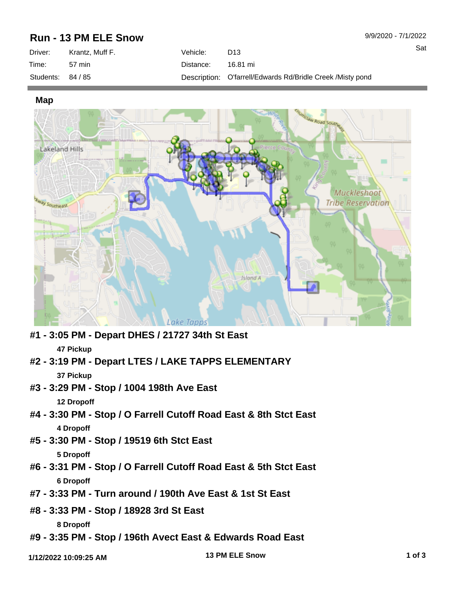## **Run - 13 PM ELE Snow**

| Driver:   | Krantz. Muff F. | Vehicle: . | D <sub>13</sub>                                            |
|-----------|-----------------|------------|------------------------------------------------------------|
| Time:     | 57 min          | Distance:  | 16.81 mi                                                   |
| Students: | 84 / 85         |            | Description: O'farrell/Edwards Rd/Bridle Creek /Misty pond |

**Map**



- **#1 3:05 PM Depart DHES / 21727 34th St East 47 Pickup**
- **#2 3:19 PM Depart LTES / LAKE TAPPS ELEMENTARY 37 Pickup**
- **#3 3:29 PM Stop / 1004 198th Ave East**

**12 Dropoff**

- **#4 3:30 PM Stop / O Farrell Cutoff Road East & 8th Stct East 4 Dropoff**
- **#5 3:30 PM Stop / 19519 6th Stct East 5 Dropoff**
- **#6 3:31 PM Stop / O Farrell Cutoff Road East & 5th Stct East 6 Dropoff**
- **#7 3:33 PM Turn around / 190th Ave East & 1st St East**
- **#8 3:33 PM Stop / 18928 3rd St East**

**8 Dropoff**

**#9 - 3:35 PM - Stop / 196th Avect East & Edwards Road East**